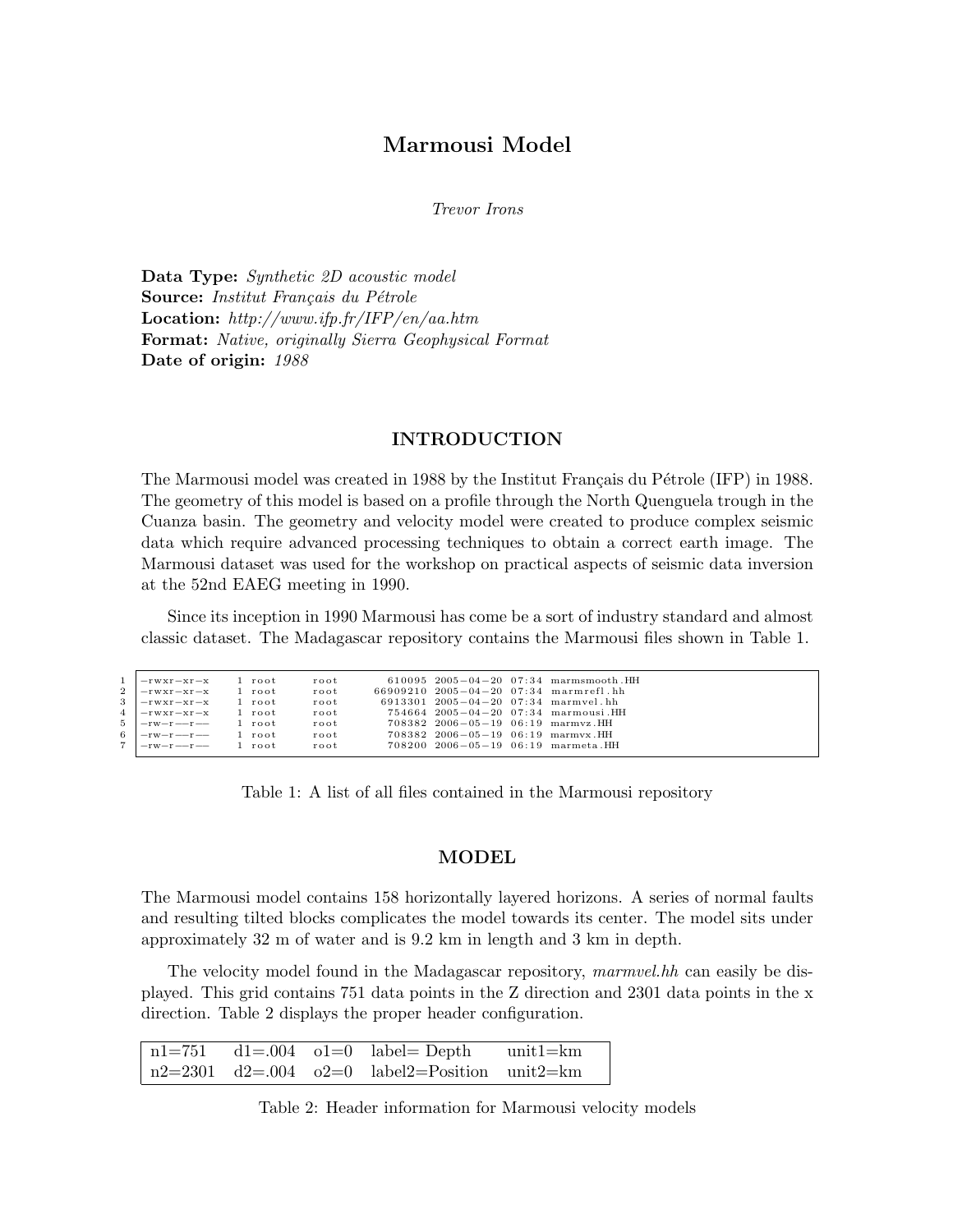# Marmousi Model

Trevor Irons

Data Type: Synthetic 2D acoustic model Source: Institut Français du Pétrole Location: http://www.ifp.fr/IFP/en/aa.htm Format: Native, originally Sierra Geophysical Format Date of origin: 1988

## INTRODUCTION

The Marmousi model was created in 1988 by the Institut Français du Pétrole (IFP) in 1988. The geometry of this model is based on a profile through the North Quenguela trough in the Cuanza basin. The geometry and velocity model were created to produce complex seismic data which require advanced processing techniques to obtain a correct earth image. The Marmousi dataset was used for the workshop on practical aspects of seismic data inversion at the 52nd EAEG meeting in 1990.

Since its inception in 1990 Marmousi has come be a sort of industry standard and almost classic dataset. The Madagascar repository contains the Marmousi files shown in Table 1.

| 1   - rwxr-xr-x 1 root                                                |  | root                        |                                           | 610095 2005-04-20 07:34 marmsmooth.HH |
|-----------------------------------------------------------------------|--|-----------------------------|-------------------------------------------|---------------------------------------|
| $2$ $ -rwxr-xr-x$ 1 $root$                                            |  | root                        |                                           | 66909210 2005-04-20 07:34 marmrefl.hh |
| 3  -rwxr-xr-x 1 root                                                  |  | $\mathbf{r}$ o $\mathbf{t}$ | $6913301$ $2005-04-20$ $07:34$ marmvel.hh |                                       |
| $4$ $-rwxr-xr-x$ 1 root                                               |  | root                        |                                           | $754664$ 2005-04-20 07:34 marmousi.HH |
| $5$ $ -rw-r--r--1$ root                                               |  | root                        | $708382$ $2006-05-19$ $06:19$ marmyz.HH   |                                       |
| $6$ $ -rw-r--r--1$ root                                               |  | root                        | $708382$ $2006-05-19$ $06:19$ marmyx.HH   |                                       |
| $7 \text{ } -\text{rw}-\text{r} \text{---}\text{r} \text{---}$ 1 root |  | root                        | $708200$ $2006-05-19$ $06:19$ marmeta.HH  |                                       |
|                                                                       |  |                             |                                           |                                       |

Table 1: A list of all files contained in the Marmousi repository

## MODEL

The Marmousi model contains 158 horizontally layered horizons. A series of normal faults and resulting tilted blocks complicates the model towards its center. The model sits under approximately 32 m of water and is 9.2 km in length and 3 km in depth.

The velocity model found in the Madagascar repository, marmvel.hh can easily be displayed. This grid contains 751 data points in the Z direction and 2301 data points in the x direction. Table 2 displays the proper header configuration.

|  | $n1=751$ $d1=.004$ $o1=0$ $label = Depth$            | unit1=km |
|--|------------------------------------------------------|----------|
|  | $\ln 2 = 2301$ d2=.004 o2=0 label2=Position unit2=km |          |

Table 2: Header information for Marmousi velocity models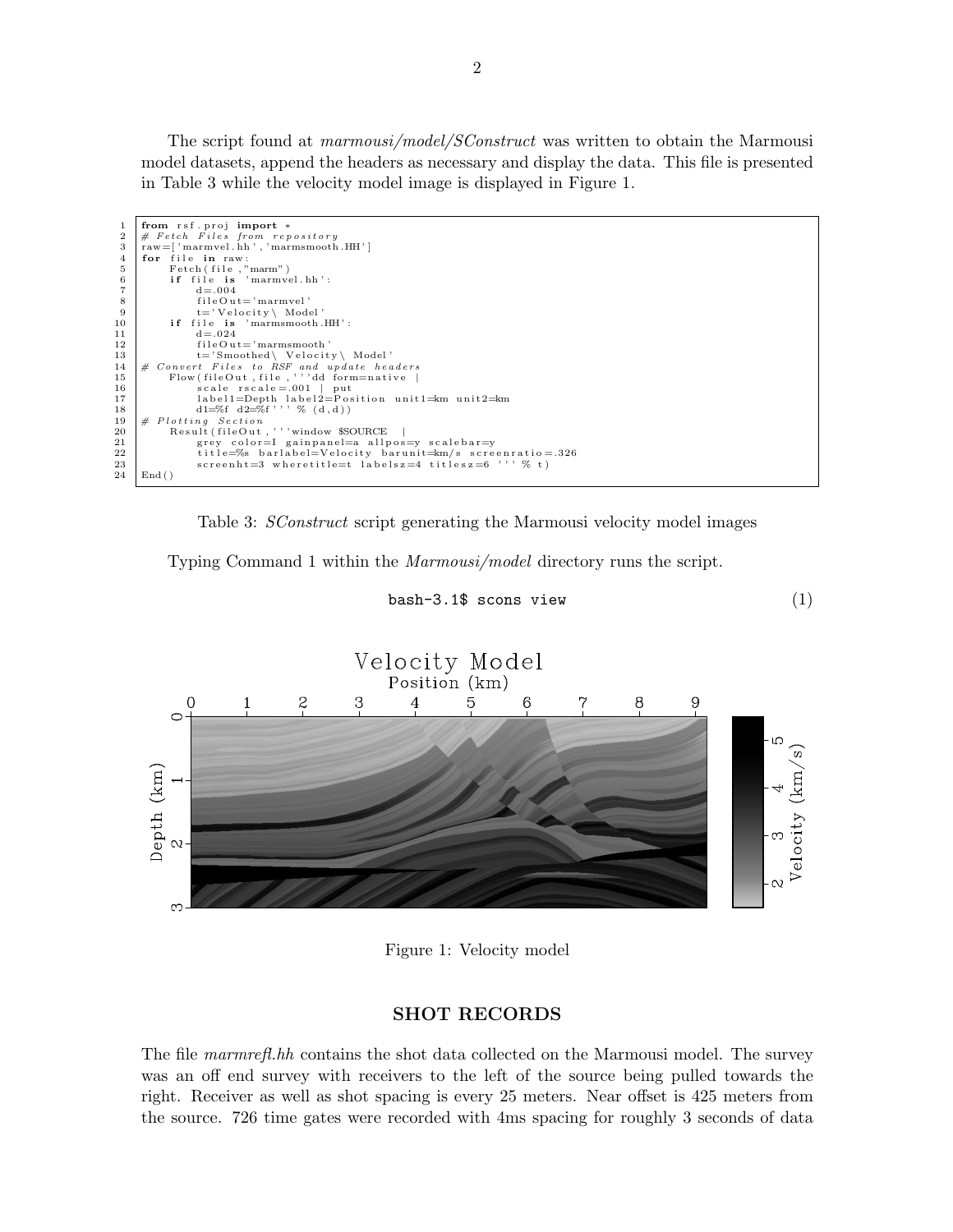The script found at marmousi/model/SConstruct was written to obtain the Marmousi model datasets, append the headers as necessary and display the data. This file is presented in Table 3 while the velocity model image is displayed in Figure 1.

| 1              | from rsf.proj import *                                      |
|----------------|-------------------------------------------------------------|
| $\overline{2}$ | $#$ Fetch Files from repository                             |
| 3              | $raw = ['marmvel.hh', 'marmsmooth.HH']$                     |
| $\overline{4}$ | for file in raw:                                            |
| 5              | Fetch (file, "marm")                                        |
| 6              | if file is 'marmyel.hh':                                    |
|                | $d = 0.004$                                                 |
| 8              | $fileOut='marmvel'$                                         |
| -9             | $t = 'Velocity \setminus Model'$                            |
| 10             | if file is 'marmsmooth.HH':                                 |
| 11             | $d = 0.024$                                                 |
| 12             | $fileOut='marmsmooth'$                                      |
| 13             | $t = 'Smoothed \ \ \ \ \$                                   |
| 14             | # Convert Files to RSF and update headers                   |
| 15             | Flow(fileOut,file,'''dd form=native                         |
| 16             | scale $rscale = .001$   put                                 |
| 17             | $label1=Depth$ label2=Position unit1= $km$ unit2= $km$      |
| 18             | $d1 = \%f \ d2 = \%f'$ , % $(d,d)$                          |
| 19             | # Plotting Section                                          |
| 20             | Result (fileOut, '''window \$SOURCE                         |
| 21             | grey color=I gainpanel=a allpos=y scalebar=y                |
| 22             | title=%s barlabel=Velocity barunit= $km/s$ screenratio=.326 |
| 23             | screenht=3 wheretitle=t labelsz=4 titlesz=6 '' $\%$ t)      |
| 24             | End()                                                       |

Table 3: SConstruct script generating the Marmousi velocity model images

Typing Command 1 within the Marmousi/model directory runs the script.

bash-3.1\$ scons view  $(1)$ 



Figure 1: Velocity model

### SHOT RECORDS

The file marmrefl.hh contains the shot data collected on the Marmousi model. The survey was an off end survey with receivers to the left of the source being pulled towards the right. Receiver as well as shot spacing is every 25 meters. Near offset is 425 meters from the source. 726 time gates were recorded with 4ms spacing for roughly 3 seconds of data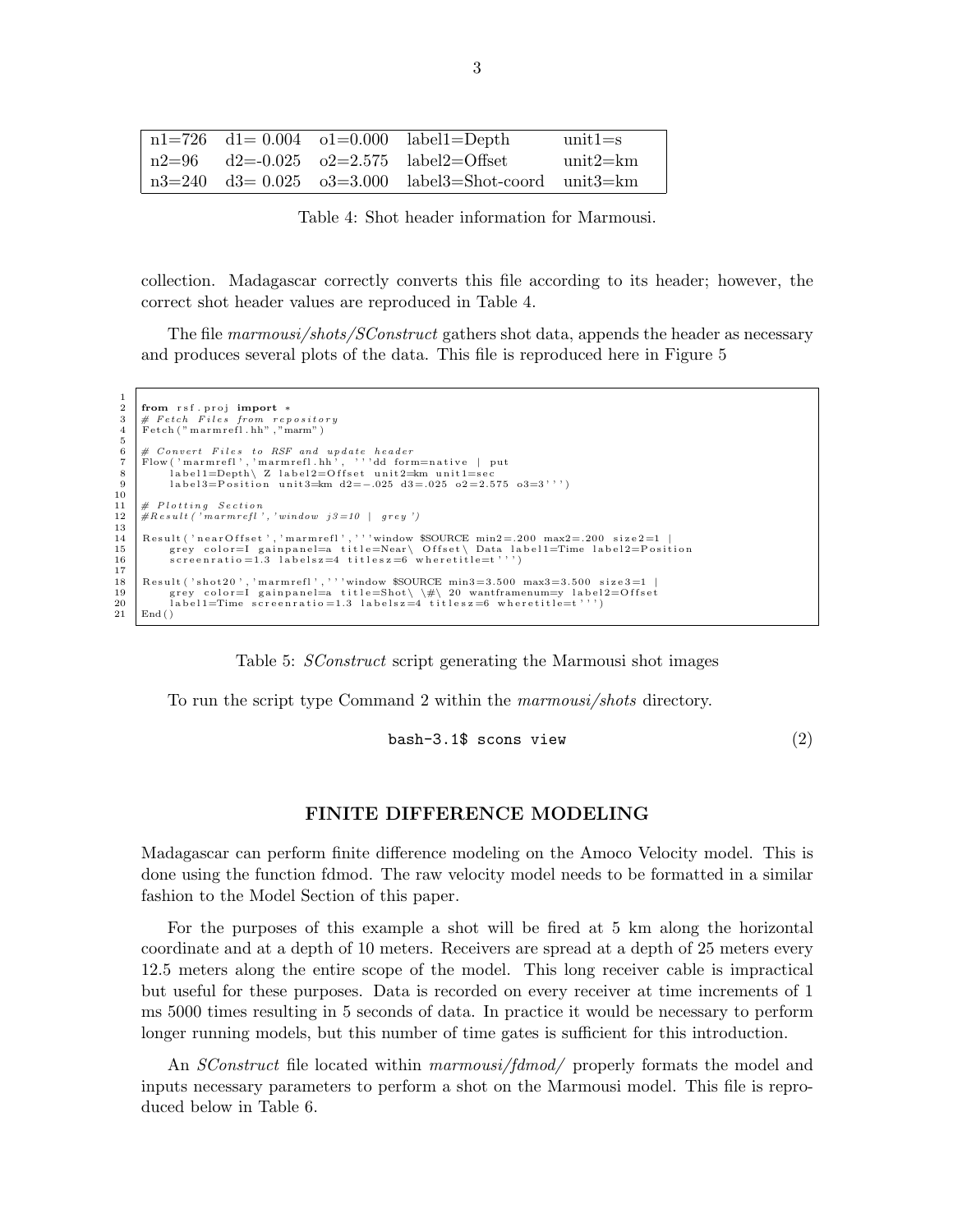|  | $n1=726$ d1= 0.004 o1=0.000 label1=Depth               | $unit1 = s$ |
|--|--------------------------------------------------------|-------------|
|  | $\ln 2 = 96$ d2=-0.025 o2=2.575 label2=Offset          | unit2=km    |
|  | $n3=240$ d3= 0.025 o3=3.000 label3=Shot-coord unit3=km |             |

Table 4: Shot header information for Marmousi.

collection. Madagascar correctly converts this file according to its header; however, the correct shot header values are reproduced in Table 4.

The file marmousi/shots/SConstruct gathers shot data, appends the header as necessary and produces several plots of the data. This file is reproduced here in Figure 5

```
\frac{1}{2}2 from rsf.proj import *<br>3 # Fetch Files from repository<br>4 Fetch ("marmrefl.hh","marm")
 \begin{array}{c} 5 \\ 6 \\ 7 \\ 8 \end{array}6 # Convert Files to RSF and update header<br>7 | Flow ('marmrefl','marmrefl.hh', '''dd form=native | put<br>8 | labell=Depth\ Z label2=Offset unit2=km unit1=sec
 9 label3=Position unit3=km d2=−.025 d3=.025 o2=2.575 o3=3''')
\begin{array}{c} 10 \\ 11 \end{array}\begin{array}{c|cc} 11 & \# & Plotting & Section \\ 12 & \#Result & 'marmrefl \end{array}H Result('marmrefl', 'window j3=10 | grey')\begin{array}{c} 13 \\ 14 \end{array}14 Result ('near Offset', 'marmrefl',''' window $SOURCE min2=.200 max2=.200 size2=1<br>15 grev_color=I_gainpanel=a_title=Near\ Offset\ Data_label1=Time_label2=Pos
15 grey color=I gainpanel=a title=Near\ Offset\ Data label1=Time label2=Position<br>16 screenratio=1.3 labelsz=4 titlesz=6 wheretitle=t''')
               \text{screen ratio}=1.3 labelsz=4 titlesz=6 where title=t''')
       Result('shot 20', 'marmrefl', ''' window $SOURCE min3=3.500 max3=3.500 size3=1 |19 grey color=I gainpanel=a title=Shot\\#\ 20 wantframenum=y label2=Offset<br>20 label1=Time screenratio=1.3 labelsz=4 titlesz=6 wheretitle=t''')
21 End ()
```
 $\frac{17}{18}$ 

Table 5: SConstruct script generating the Marmousi shot images

To run the script type Command 2 within the marmousi/shots directory.

bash-3.1\$ scons view  $(2)$ 

#### FINITE DIFFERENCE MODELING

Madagascar can perform finite difference modeling on the Amoco Velocity model. This is done using the function fdmod. The raw velocity model needs to be formatted in a similar fashion to the Model Section of this paper.

For the purposes of this example a shot will be fired at 5 km along the horizontal coordinate and at a depth of 10 meters. Receivers are spread at a depth of 25 meters every 12.5 meters along the entire scope of the model. This long receiver cable is impractical but useful for these purposes. Data is recorded on every receiver at time increments of 1 ms 5000 times resulting in 5 seconds of data. In practice it would be necessary to perform longer running models, but this number of time gates is sufficient for this introduction.

An *SConstruct* file located within *marmousi/fdmod*/ properly formats the model and inputs necessary parameters to perform a shot on the Marmousi model. This file is reproduced below in Table 6.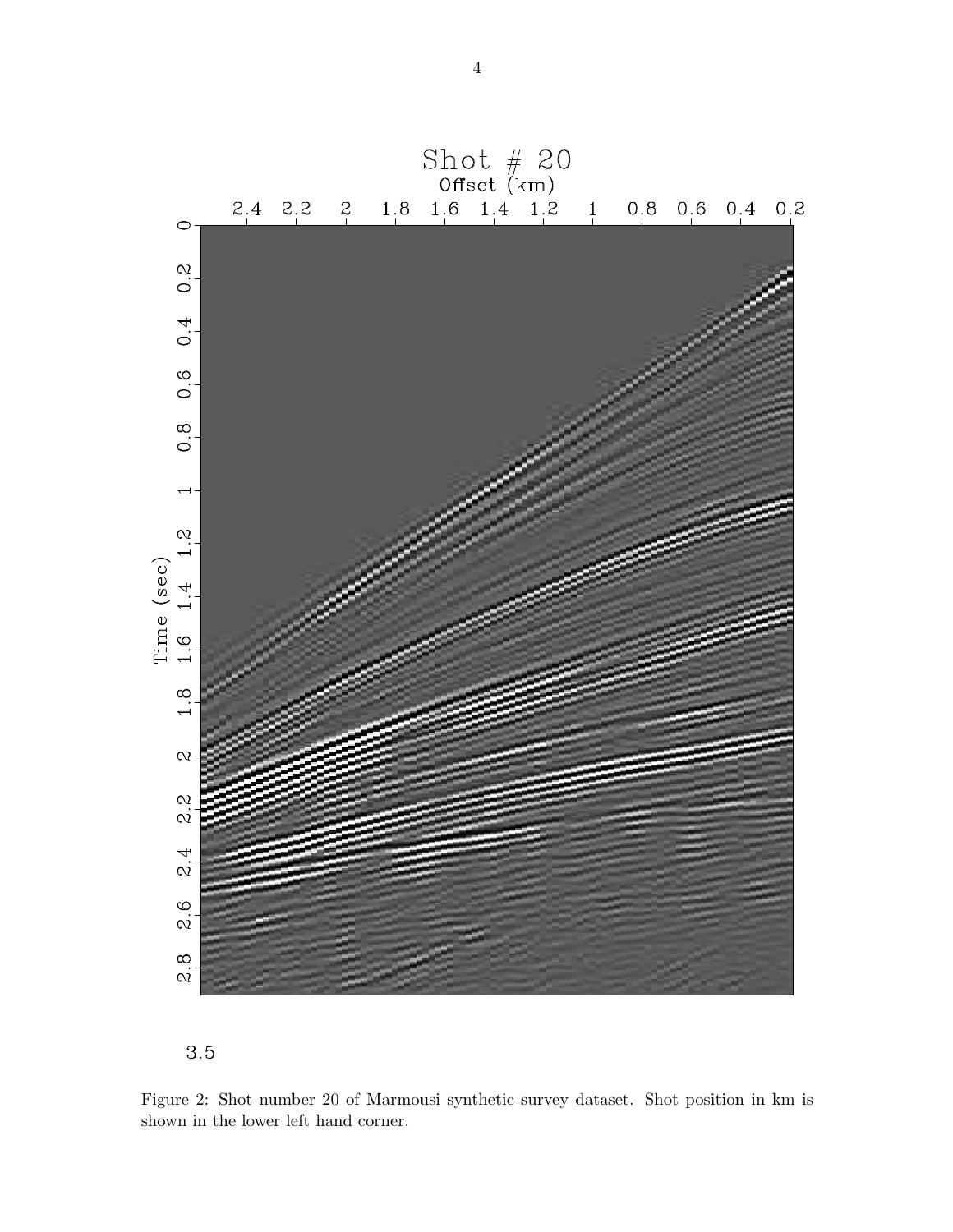



Figure 2: Shot number 20 of Marmousi synthetic survey dataset. Shot position in km is shown in the lower left hand corner.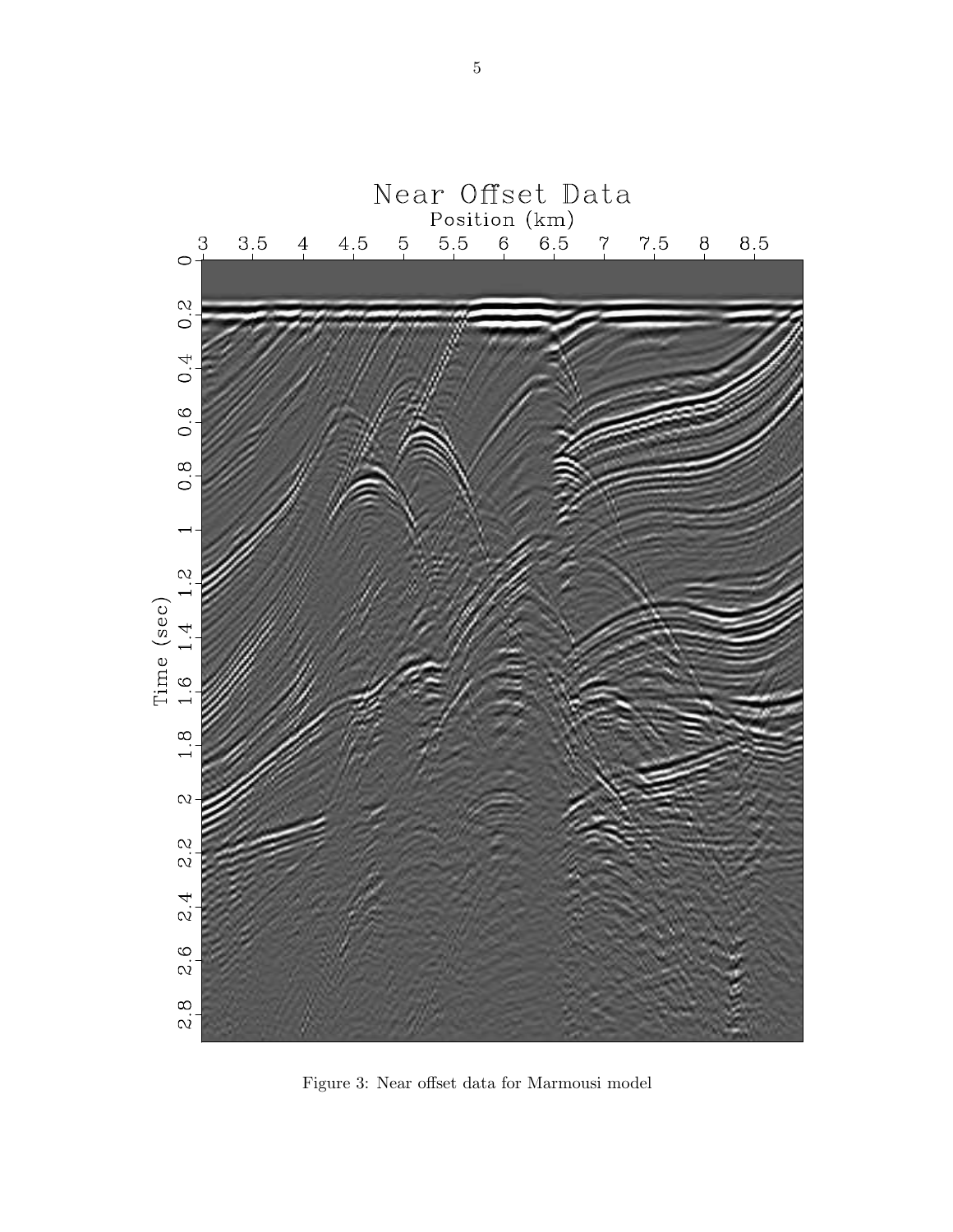

Figure 3: Near offset data for Marmousi model

5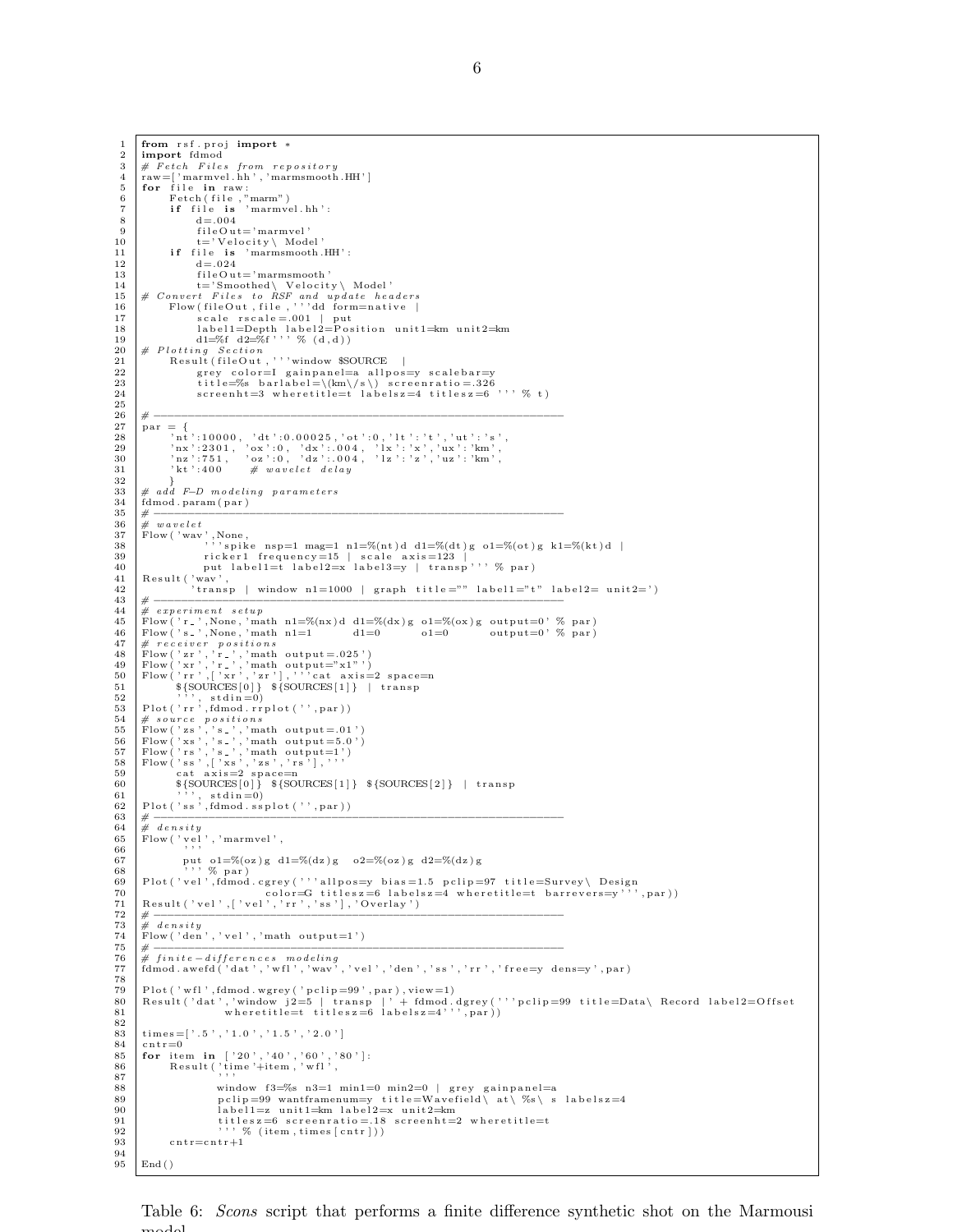$\mathrm{End}\left( \,\right)$ 

Table 6: *Scons* script that performs a finite difference synthetic shot on the Marmousi model.

```
\frac{1}{2} from rsf. proj import *
          import fdmod
   3 \neq \text{Fetch} Files from repository<br>4 raw=['marmvel.hh','marmsmooth.HH']
   5 for file in raw:<br>6 Fetch(file,"marm")<br>7 if file is 'marmvel.hh':
  \begin{array}{c|c}\n8 & d = .004 \\
\hline\n9 & \text{fileOut}\n\end{array}\begin{array}{c|c} 9 & \text{fileOut} = 'marmvel \\ 10 & t = 'Velocity \setminus Model \end{array}10 t='Velocity \setminus Model'<br>
11 if file is 'marmsmooth.
 11 if file is 'marmsmooth.HH':<br>
d = .02413 \left| \begin{array}{ccc} 1 & \text{if } i \in \text{O} \text{ u } t = ' \text{ marmsmooth} \end{array} \right|\begin{tabular}{ll} 14 & t= 'Smoothed \setminus Velocity \setminus Model \cdot 14 \\ 15 & \# Convert file Out, file, 'r' dd format we haders \\ 16 & Flow fileOut, file, ''' dd formative | \\ 17 & scale rscale = .001 | put \\ 18 & label1=Depth \: label12=Post: 'position unit1=km \: unit2=km \: dl=\%f \: ^{19} \: % (d,d) \end{tabular}20 | # Plotting Section<br>21 Result(fileOut,'''window $SOURCE |
 22 g r e y c o l o r=I g a i n p a n e l=a a l l p o s=y s c a l e b a r=y
23 t i t l e=%s b a r l a b e l =\(km\/ s \) s c r e e n r a t i o = .326
24 s c r e e n h t=3 w h e r e t i t l e=t l a b e l s z =4 t i t l e s z =6 ' ' ' % t )
\frac{25}{26}26 # −−−−−−−−−−−−−−−−−−−−−−−−−−−−−−−−−−−−−−−−−−−−−−−−−−−−−−−−−−−−
\begin{array}{c|c}\n 27 \\
 28\n \end{array} par = {
 \begin{array}{llll} 28 & & ? \mathrm{nt}^+ \! : \! 10000\,, \ \ ' \mathrm{d} t^+ \! : \! 0.00025\,, \ ' \mathrm{ot}^+ \! : \! 0\,, \ \ ' \mathrm{l} t^+ \! : \ ' \mathrm{t}^+ \,, \ ' \mathrm{u} t^+ \! : \ ' \mathrm{s}^+ \,, \\ 29 & & ? \mathrm{n} z^+ \! : \! 2301\,, \ \ ' \mathrm{ox}^+ \! : \! 0\,, \ \ ' \mathrm{d} x^+ \! : \! 004\,, \ \ ' \mathrm{l} x^+ \! : \ ' \mathrm{x}^+ \,, \ \ ' \mathrm32             }<br>33     #   add  F−D  modeling   parameters
34 \quad \text{fdmod. param (par)}<br>35 \quad \text{\#} \quad \text{\#}35 # −−−−−−−−−−−−−−−−−−−−−−−−−−−−−−−−−−−−−−−−−−−−−−−−−−−−−−−−−−−−
 \begin{array}{llllll} 36 & \# \ \textit{wavelet} \\ 37 & \textit{Flow('wav',None,} \\ 38 & \textit{``is''} \textit{``spike nsp=1 mag=1 n1=}\% (nt) d \ d1=\% (dt) g \ o1=\% (ot) g \ kl=\% (kt) d \ | \\ 39 & \textit{ricker1 frequency=15} & \textit{scale axis=123} \\ 40 & \textit{put label1=t label1=}\ \textit{label==}\ \textit{label==}\ \textit{transp''},\ \ \% \ \textit{par}) \\ 41 & \textit{Result('wav',} \end{array}42 ' t r a n s p | window n1=1000 | graph t i t l e ="" l a b e l 1="t " l a b e l 2= u n i t 2= ' )
43 # −−−−−−−−−−−−−−−−−−−−−−−−−−−−−−−−−−−−−−−−−−−−−−−−−−−−−−−−−−−−
44 \# experiment setup<br>45 \text{Flow('r)}. None, 'ma
 45 | Flow('r_',None,'math n1=%(nx)d d1=%(dx)g o1=%(ox)g output=0' % par)<br>46 | Flow('s_',None,'math n1=1 d1=0 o1=0 output=0' % par)
 47 # receiver~ positions<br>
48 Flow ('zr','r_','math output=.025')<br>
50 Flow ('xr','r_','math output="x1"')<br>
50 Flow ('rr',['xr','zr'],'''cat axis=2 space=n<br>
51 S{SOURCES[0]} ${SOURCES[1]} | transp
52 ' ' ' , s t d i n =0)
 53 P l o t ( ' r r ' , fdmod . r r p l o t ( ' ' , par ) )
54 # s o u r c e p o s i t i o n s
55 Flow ( ' z s ' , ' s ' , 'math output =.01 ' )
56 Flow ( ' xs ' , ' s ' , 'math output =5.0 ' )
57 Flow ( ' r s ' , ' s ' , 'math output=1 ' )
58 Flow ( ' s s ' , [ ' xs ' , ' z s ' , ' r s ' ] , ' ' '
59 c a t a x i s=2 sp a c e=n
60 ${SOURCES [ 0 ] } ${SOURCES [ 1 ] } ${SOURCES [ 2 ] } | t r a n s p
 61 \begin{pmatrix} 61 \ 62 \end{pmatrix} Plot ('ss', fdmod.ssplot ('', par))
 63 # −−−−−−−−−−−−−−−−−−−−−−−−−−−−−−−−−−−−−−−−−−−−−−−−−−−−−−−−−−−−
 64 \# density Flow ('vel','marmvel',
67 put o1=%(oz)g d1=%(dz)g o2=%(oz)g d2=%(dz)g 68
 68 ' ' ' % par )
69 P l o t ( ' v e l ' , fdmod . c g r e y ( ' ' ' a l l p o s=y b i a s =1.5 p c l i p =97 t i t l e=Survey \ D es ign
70 c o l o r=G t i t l e s z =6 l a b e l s z =4 w h e r e t i t l e=t b a r r e v e r s=y ' ' ' , par ) )
71 R e s u l t ( ' v e l ' , [ ' v e l ' , ' r r ' , ' s s ' ] , ' Ov er lay ' )
 72 # −−−−−−−−−−−−−−−−−−−−−−−−−−−−−−−−−−−−−−−−−−−−−−−−−−−−−−−−−−−−
73 \# density<br>74 Flow ('den
74 \begin{bmatrix} \text{Flow} ( \text{ 'den } ', \text{ 'vel } ', \text{ 'math}' -1 ) \\ \text{# } \end{bmatrix}75 # −−−−−−−−−−−−−−−−−−−−−−−−−−−−−−−−−−−−−−−−−−−−−−−−−−−−−−−−−−−−
76 # f i n i t e −d i f f e r e n c e s m o d e l i n g
77 fdmod . awe fd ( ' dat ' , ' w f l ' , ' wav ' , ' v e l ' , ' den ' , ' s s ' , ' r r ' , ' f r e e=y d ens=y ' , par )
78
 79 | Plot('wfl',fdmod.wgrey('pclip=99',par),view=1)<br>80 | Result('dat','window j2=5 | transp |'+ fdmod.dgrey('''pclip=99 title=Data\ Record label2=Offset<br>81 | wheretitle=t titlesz=6 labelsz=4''',par))
\frac{82}{83}{\tt times} \!=\![\; \cdot \; .5\; \cdot \; ,\; \cdot \; 1\, .0\; \cdot \; ,\; \cdot \; 1\, .5\; \cdot \; ,\; \cdot \; 2\, .0\; \cdot \; ]84 cntr=0
 85 for item in ['20','40','60','80']:<br>86 Result('time'+item,'wfl',<br>87
88 window f 3\frac{8}{8} window f 3\frac{8}{8} n 3\frac{1}{8} min1=0 min2=0 | g rey gainpanel=a<br>89 n clin=99 wantframenum=v title=Wayefield\ at\ %s\ s
 89 pclip=99 wantframenum=y title=Wavefield\at\%s\s labelsz=4<br>90 label1=z unit1=km label2=x unit2=km
91 titles z = 6 screenratio = 18 screenht=2 where title=t 92<br>92 \cdots \% (item times [cntr]))
\begin{array}{c}92\\93\end{array} \begin{array}{c} \text{(item, times [cntr]))}\\ \text{(in the image)}\end{array}\text{c} n t r = c n t r +1
\frac{94}{95}
```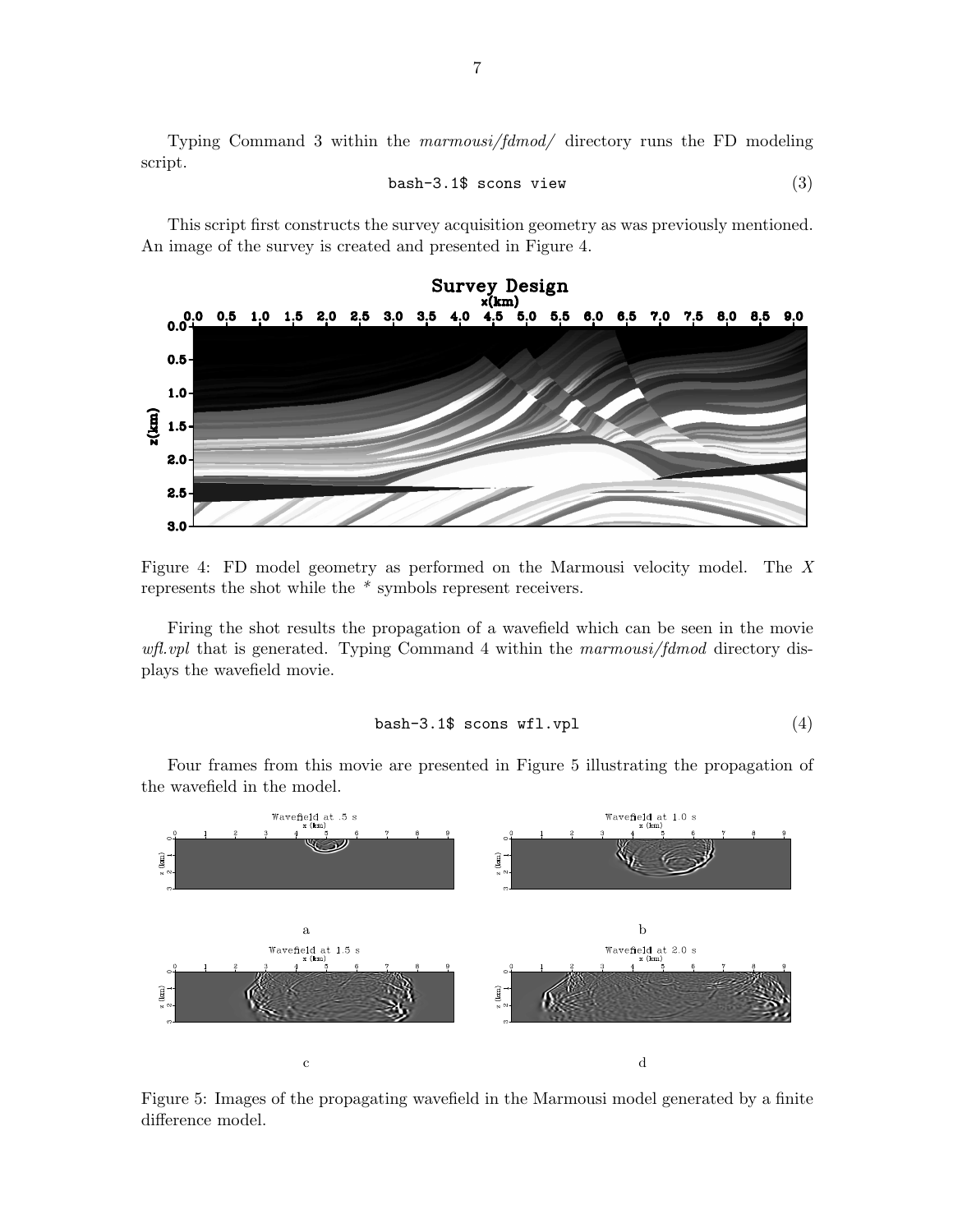Typing Command 3 within the marmousi/fdmod/ directory runs the FD modeling script.

$$
bash-3.1$s cons view \t(3)
$$

This script first constructs the survey acquisition geometry as was previously mentioned. An image of the survey is created and presented in Figure 4.



Figure 4: FD model geometry as performed on the Marmousi velocity model. The X represents the shot while the \* symbols represent receivers.

Firing the shot results the propagation of a wavefield which can be seen in the movie wfl.vpl that is generated. Typing Command 4 within the marmousi/fdmod directory displays the wavefield movie.

$$
\mathtt{bash}\text{-}3.1\text{\$~scons~wf1.vp1} \tag{4}
$$

Four frames from this movie are presented in Figure 5 illustrating the propagation of the wavefield in the model.



Figure 5: Images of the propagating wavefield in the Marmousi model generated by a finite difference model.